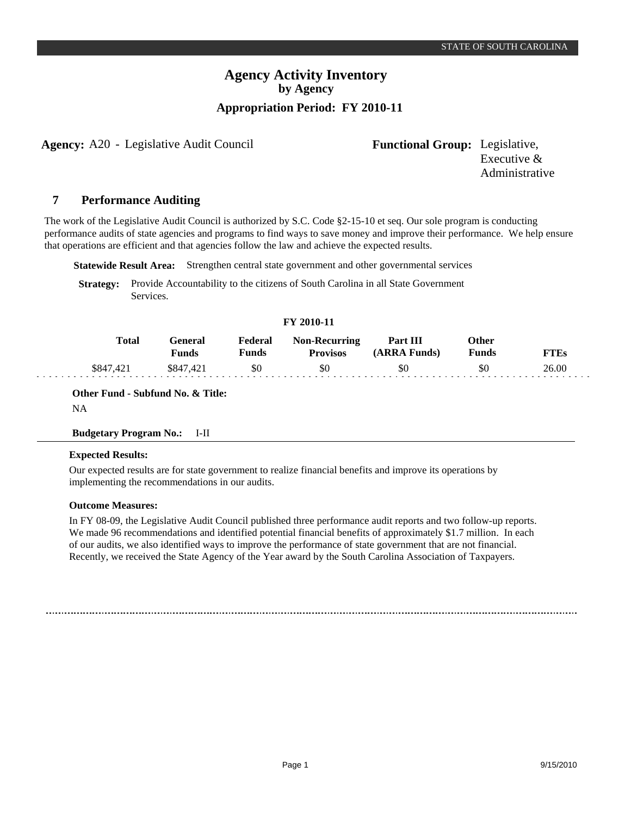### **Agency Activity Inventory by Agency Appropriation Period: FY 2010-11**

**Agency:** A20 - Legislative Audit Council **Functional Group:** Legislative,

Executive & Administrative

#### **Performance Auditing 7**

The work of the Legislative Audit Council is authorized by S.C. Code §2-15-10 et seq. Our sole program is conducting performance audits of state agencies and programs to find ways to save money and improve their performance. We help ensure that operations are efficient and that agencies follow the law and achieve the expected results.

**Statewide Result Area:** Strengthen central state government and other governmental services

**Strategy:** Provide Accountability to the citizens of South Carolina in all State Government Services.

### **FY 2010-11**

| <b>Total</b> | General<br>Funds | Federal<br>Funds | <b>Non-Recurring</b><br><b>Provisos</b> | Part III<br>(ARRA Funds) | Other<br>Funds | FTEs  |
|--------------|------------------|------------------|-----------------------------------------|--------------------------|----------------|-------|
| \$847.421    | \$847.421        | \$0              | \$0                                     | \$0                      | \$0            | 26.00 |

**Other Fund - Subfund No. & Title:**

NA

#### **Budgetary Program No.:** I-II

#### **Expected Results:**

Our expected results are for state government to realize financial benefits and improve its operations by implementing the recommendations in our audits.

#### **Outcome Measures:**

In FY 08-09, the Legislative Audit Council published three performance audit reports and two follow-up reports. We made 96 recommendations and identified potential financial benefits of approximately \$1.7 million. In each of our audits, we also identified ways to improve the performance of state government that are not financial. Recently, we received the State Agency of the Year award by the South Carolina Association of Taxpayers.